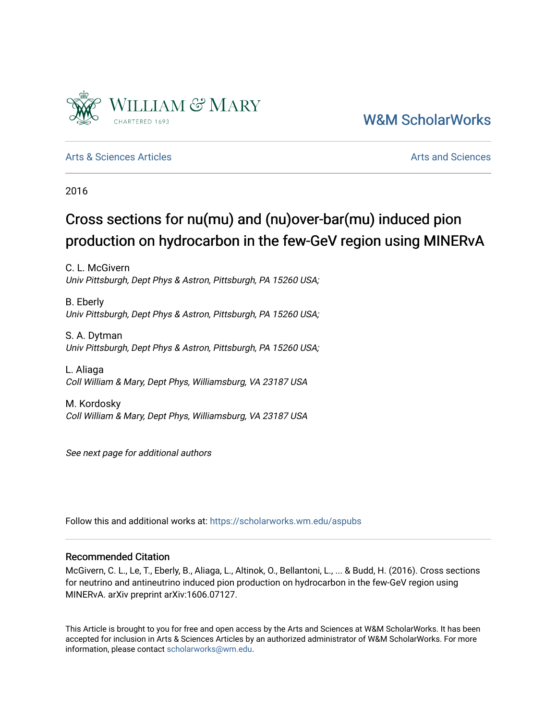

[W&M ScholarWorks](https://scholarworks.wm.edu/) 

[Arts & Sciences Articles](https://scholarworks.wm.edu/aspubs) **Articles** Articles [Arts and Sciences](https://scholarworks.wm.edu/as) Arts and Sciences Arts and Sciences Arts and Sciences

2016

# Cross sections for nu(mu) and (nu)over-bar(mu) induced pion production on hydrocarbon in the few-GeV region using MINERvA

C. L. McGivern Univ Pittsburgh, Dept Phys & Astron, Pittsburgh, PA 15260 USA;

B. Eberly Univ Pittsburgh, Dept Phys & Astron, Pittsburgh, PA 15260 USA;

S. A. Dytman Univ Pittsburgh, Dept Phys & Astron, Pittsburgh, PA 15260 USA;

L. Aliaga Coll William & Mary, Dept Phys, Williamsburg, VA 23187 USA

M. Kordosky Coll William & Mary, Dept Phys, Williamsburg, VA 23187 USA

See next page for additional authors

Follow this and additional works at: [https://scholarworks.wm.edu/aspubs](https://scholarworks.wm.edu/aspubs?utm_source=scholarworks.wm.edu%2Faspubs%2F634&utm_medium=PDF&utm_campaign=PDFCoverPages) 

## Recommended Citation

McGivern, C. L., Le, T., Eberly, B., Aliaga, L., Altinok, O., Bellantoni, L., ... & Budd, H. (2016). Cross sections for neutrino and antineutrino induced pion production on hydrocarbon in the few-GeV region using MINERvA. arXiv preprint arXiv:1606.07127.

This Article is brought to you for free and open access by the Arts and Sciences at W&M ScholarWorks. It has been accepted for inclusion in Arts & Sciences Articles by an authorized administrator of W&M ScholarWorks. For more information, please contact [scholarworks@wm.edu](mailto:scholarworks@wm.edu).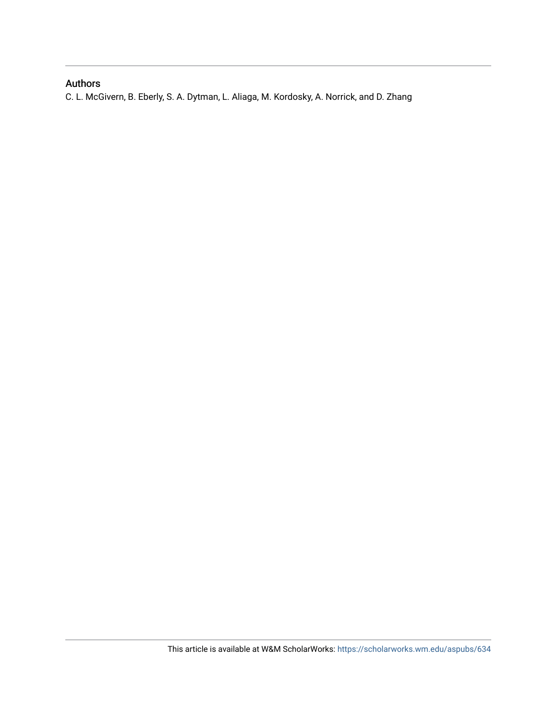# Authors

C. L. McGivern, B. Eberly, S. A. Dytman, L. Aliaga, M. Kordosky, A. Norrick, and D. Zhang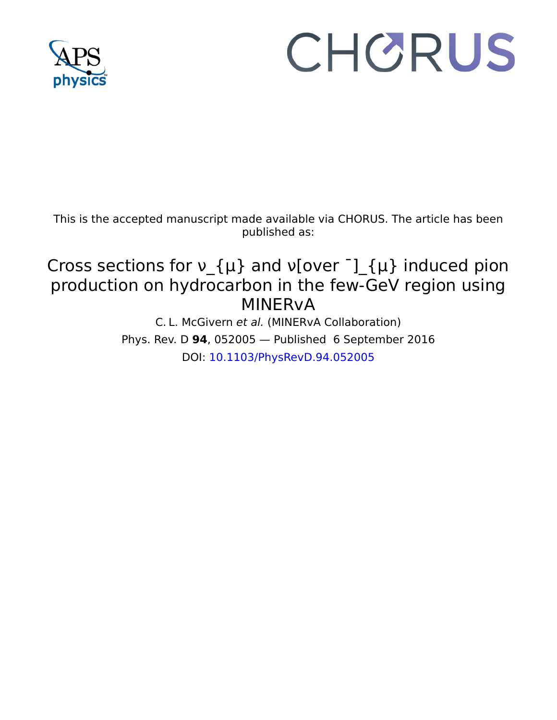

# CHORUS

This is the accepted manuscript made available via CHORUS. The article has been published as:

# Cross sections for  $v_{\perp}\{\mu\}$  and  $v[over^{-}]_{\perp}\{\mu\}$  induced pion production on hydrocarbon in the few-GeV region using MINERvA

C. L. McGivern et al. (MINERvA Collaboration) Phys. Rev. D **94**, 052005 — Published 6 September 2016 DOI: [10.1103/PhysRevD.94.052005](http://dx.doi.org/10.1103/PhysRevD.94.052005)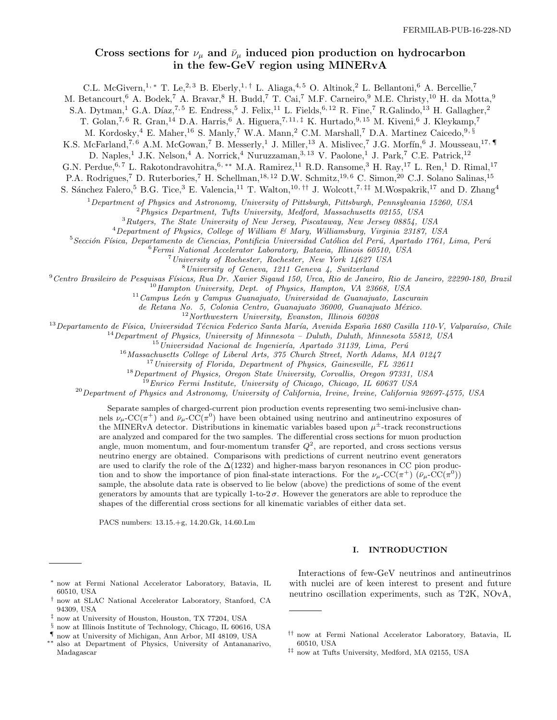## Cross sections for  $\nu_{\mu}$  and  $\bar{\nu}_{\mu}$  induced pion production on hydrocarbon in the few-GeV region using MINERvA

C.L. McGivern,<sup>1, \*</sup> T. Le,<sup>2, 3</sup> B. Eberly,<sup>1, †</sup> L. Aliaga,<sup>4, 5</sup> O. Altinok,<sup>2</sup> L. Bellantoni,<sup>6</sup> A. Bercellie,<sup>7</sup>

M. Betancourt,<sup>6</sup> A. Bodek,<sup>7</sup> A. Bravar,<sup>8</sup> H. Budd,<sup>7</sup> T. Cai,<sup>7</sup> M.F. Carneiro,<sup>9</sup> M.E. Christy,<sup>10</sup> H. da Motta,<sup>9</sup>

S.A. Dytman,<sup>1</sup> G.A. Díaz,<sup>7,5</sup> E. Endress,<sup>5</sup> J. Felix,<sup>11</sup> L. Fields,<sup>6,12</sup> R. Fine,<sup>7</sup> R. Galindo,<sup>13</sup> H. Gallagher,<sup>2</sup>

T. Golan,<sup>7,6</sup> R. Gran,<sup>14</sup> D.A. Harris,<sup>6</sup> A. Higuera,<sup>7,11,‡</sup> K. Hurtado,<sup>9,15</sup> M. Kiveni,<sup>6</sup> J. Kleykamp,<sup>7</sup>

M. Kordosky,<sup>4</sup> E. Maher,<sup>16</sup> S. Manly,<sup>7</sup> W.A. Mann,<sup>2</sup> C.M. Marshall,<sup>7</sup> D.A. Martinez Caicedo,<sup>9,§</sup>

K.S. McFarland,<sup>7,6</sup> A.M. McGowan,<sup>7</sup> B. Messerly,<sup>1</sup> J. Miller,<sup>13</sup> A. Mislivec,<sup>7</sup> J.G. Morfín,<sup>6</sup> J. Mousseau,<sup>17,</sup>

D. Naples,<sup>1</sup> J.K. Nelson,<sup>4</sup> A. Norrick,<sup>4</sup> Nuruzzaman,<sup>3, 13</sup> V. Paolone,<sup>1</sup> J. Park,<sup>7</sup> C.E. Patrick,<sup>12</sup>

G.N. Perdue, <sup>6, 7</sup> L. Rakotondravohitra, <sup>6,\*\*</sup> M.A. Ramirez, <sup>11</sup> R.D. Ransome, <sup>3</sup> H. Ray, <sup>17</sup> L. Ren, <sup>1</sup> D. Rimal, <sup>17</sup>

P.A. Rodrigues,<sup>7</sup> D. Ruterbories,<sup>7</sup> H. Schellman,<sup>18, 12</sup> D.W. Schmitz,<sup>19, 6</sup> C. Simon,<sup>20</sup> C.J. Solano Salinas,<sup>15</sup>

S. Sánchez Falero,<sup>5</sup> B.G. Tice,<sup>3</sup> E. Valencia,<sup>11</sup> T. Walton,<sup>10,††</sup> J. Wolcott,<sup>7,‡‡</sup> M.Wospakrik,<sup>17</sup> and D. Zhang<sup>4</sup>

<sup>1</sup>Department of Physics and Astronomy, University of Pittsburgh, Pittsburgh, Pennsylvania 15260, USA

<sup>2</sup>Physics Department, Tufts University, Medford, Massachusetts 02155, USA

<sup>3</sup>Rutgers, The State University of New Jersey, Piscataway, New Jersey 08854, USA

<sup>4</sup>Department of Physics, College of William & Mary, Williamsburg, Virginia 23187, USA

 $5$ Sección Física, Departamento de Ciencias, Pontificia Universidad Católica del Perú, Apartado 1761, Lima, Perú

 $6$ Fermi National Accelerator Laboratory, Batavia, Illinois 60510, USA

<sup>7</sup>University of Rochester, Rochester, New York 14627 USA

<sup>8</sup>University of Geneva, 1211 Geneva 4, Switzerland

 $^{9}$ Centro Brasileiro de Pesquisas Físicas, Rua Dr. Xavier Sigaud 150, Urca, Rio de Janeiro, Rio de Janeiro, 22290-180, Brazil

 $10$ Hampton University, Dept. of Physics, Hampton, VA 23668, USA

 $11$ Campus León y Campus Guanajuato, Universidad de Guanajuato, Lascurain

de Retana No. 5, Colonia Centro, Guanajuato 36000, Guanajuato México.

 $12$ Northwestern University, Evanston, Illinois 60208

 $^{13}$ Departamento de Física, Universidad Técnica Federico Santa María, Avenida España 1680 Casilla 110-V, Valparaíso, Chile

 $^{14}$ Department of Physics, University of Minnesota – Duluth, Duluth, Minnesota 55812, USA

 $15$ Universidad Nacional de Ingeniería, Apartado 31139, Lima, Perú

<sup>16</sup>Massachusetts College of Liberal Arts, 375 Church Street, North Adams, MA 01247

 $17$ University of Florida, Department of Physics, Gainesville, FL 32611

<sup>18</sup>Department of Physics, Oregon State University, Corvallis, Oregon 97331, USA

<sup>19</sup>Enrico Fermi Institute, University of Chicago, Chicago, IL 60637 USA

<sup>20</sup> Department of Physics and Astronomy, University of California, Irvine, Irvine, California 92697-4575, USA

Separate samples of charged-current pion production events representing two semi-inclusive channels  $\nu_\mu$ -CC( $\pi^+$ ) and  $\bar{\nu}_\mu$ -CC( $\pi^0$ ) have been obtained using neutrino and antineutrino exposures of the MINERvA detector. Distributions in kinematic variables based upon  $\mu^{\pm}$ -track reconstructions are analyzed and compared for the two samples. The differential cross sections for muon production angle, muon momentum, and four-momentum transfer  $Q^2$ , are reported, and cross sections versus neutrino energy are obtained. Comparisons with predictions of current neutrino event generators are used to clarify the role of the  $\Delta(1232)$  and higher-mass baryon resonances in CC pion production and to show the importance of pion final-state interactions. For the  $\nu_\mu$ -CC( $\pi$ <sup>+</sup>) ( $\bar{\nu}_\mu$ -CC( $\pi$ <sup>0</sup>)) sample, the absolute data rate is observed to lie below (above) the predictions of some of the event generators by amounts that are typically 1-to-2 $\sigma$ . However the generators are able to reproduce the shapes of the differential cross sections for all kinematic variables of either data set.

PACS numbers: 13.15.+g, 14.20.Gk, 14.60.Lm

#### I. INTRODUCTION

<sup>∗</sup> now at Fermi National Accelerator Laboratory, Batavia, IL 60510, USA

<sup>†</sup> now at SLAC National Accelerator Laboratory, Stanford, CA 94309, USA

<sup>‡</sup> now at University of Houston, Houston, TX 77204, USA

<sup>§</sup> now at Illinois Institute of Technology, Chicago, IL 60616, USA

<sup>¶</sup> now at University of Michigan, Ann Arbor, MI 48109, USA also at Department of Physics, University of Antananarivo,

Madagascar

Interactions of few-GeV neutrinos and antineutrinos with nuclei are of keen interest to present and future neutrino oscillation experiments, such as T2K, NOvA,

<sup>††</sup> now at Fermi National Accelerator Laboratory, Batavia, IL 60510, USA

<sup>‡‡</sup> now at Tufts University, Medford, MA 02155, USA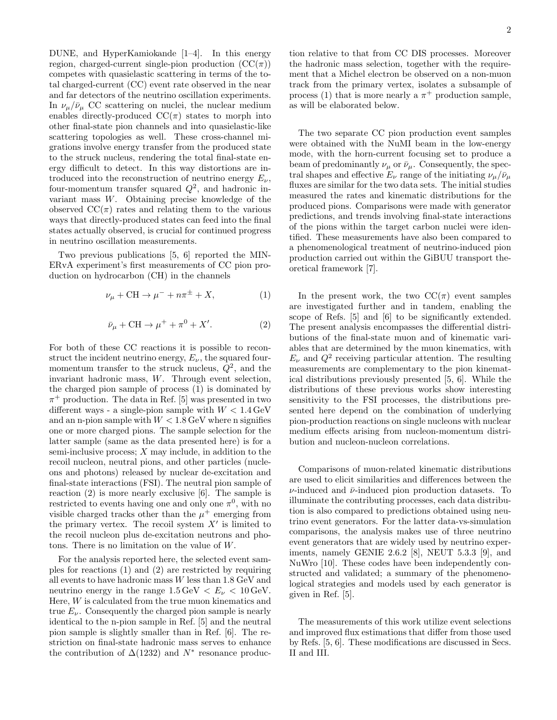DUNE, and HyperKamiokande [1–4]. In this energy region, charged-current single-pion production  $(CC(\pi))$ competes with quasielastic scattering in terms of the total charged-current (CC) event rate observed in the near and far detectors of the neutrino oscillation experiments. In  $\nu_{\mu}/\bar{\nu}_{\mu}$  CC scattering on nuclei, the nuclear medium enables directly-produced  $CC(\pi)$  states to morph into other final-state pion channels and into quasielastic-like scattering topologies as well. These cross-channel migrations involve energy transfer from the produced state to the struck nucleus, rendering the total final-state energy difficult to detect. In this way distortions are introduced into the reconstruction of neutrino energy  $E_{\nu}$ , four-momentum transfer squared  $Q^2$ , and hadronic invariant mass W. Obtaining precise knowledge of the observed  $\mathrm{CC}(\pi)$  rates and relating them to the various ways that directly-produced states can feed into the final states actually observed, is crucial for continued progress in neutrino oscillation measurements.

Two previous publications [5, 6] reported the MIN-ERvA experiment's first measurements of CC pion production on hydrocarbon (CH) in the channels

$$
\nu_{\mu} + \text{CH} \to \mu^{-} + n\pi^{\pm} + X,\tag{1}
$$

$$
\bar{\nu}_{\mu} + \text{CH} \to \mu^{+} + \pi^{0} + X'. \tag{2}
$$

For both of these CC reactions it is possible to reconstruct the incident neutrino energy,  $E_{\nu}$ , the squared fourmomentum transfer to the struck nucleus,  $Q^2$ , and the invariant hadronic mass, W. Through event selection, the charged pion sample of process (1) is dominated by  $\pi^+$  production. The data in Ref. [5] was presented in two different ways - a single-pion sample with  $W < 1.4 \,\text{GeV}$ and an n-pion sample with  $W < 1.8 \,\text{GeV}$  where n signifies one or more charged pions. The sample selection for the latter sample (same as the data presented here) is for a semi-inclusive process;  $X$  may include, in addition to the recoil nucleon, neutral pions, and other particles (nucleons and photons) released by nuclear de-excitation and final-state interactions (FSI). The neutral pion sample of reaction (2) is more nearly exclusive [6]. The sample is restricted to events having one and only one  $\pi^0$ , with no visible charged tracks other than the  $\mu^+$  emerging from the primary vertex. The recoil system  $X'$  is limited to the recoil nucleon plus de-excitation neutrons and photons. There is no limitation on the value of W.

For the analysis reported here, the selected event samples for reactions (1) and (2) are restricted by requiring all events to have hadronic mass  $W$  less than  $1.8 \text{ GeV}$  and neutrino energy in the range  $1.5 \,\text{GeV} < E_{\nu} < 10 \,\text{GeV}$ . Here, W is calculated from the true muon kinematics and true  $E_{\nu}$ . Consequently the charged pion sample is nearly identical to the n-pion sample in Ref. [5] and the neutral pion sample is slightly smaller than in Ref. [6]. The restriction on final-state hadronic mass serves to enhance the contribution of  $\Delta(1232)$  and  $N^*$  resonance production relative to that from CC DIS processes. Moreover the hadronic mass selection, together with the requirement that a Michel electron be observed on a non-muon track from the primary vertex, isolates a subsample of process (1) that is more nearly a  $\pi^+$  production sample, as will be elaborated below.

The two separate CC pion production event samples were obtained with the NuMI beam in the low-energy mode, with the horn-current focusing set to produce a beam of predominantly  $\nu_{\mu}$  or  $\bar{\nu}_{\mu}$ . Consequently, the spectral shapes and effective  $E_{\nu}$  range of the initiating  $\nu_{\mu}/\bar{\nu}_{\mu}$ fluxes are similar for the two data sets. The initial studies measured the rates and kinematic distributions for the produced pions. Comparisons were made with generator predictions, and trends involving final-state interactions of the pions within the target carbon nuclei were identified. These measurements have also been compared to a phenomenological treatment of neutrino-induced pion production carried out within the GiBUU transport theoretical framework [7].

In the present work, the two  $CC(\pi)$  event samples are investigated further and in tandem, enabling the scope of Refs. [5] and [6] to be significantly extended. The present analysis encompasses the differential distributions of the final-state muon and of kinematic variables that are determined by the muon kinematics, with  $E_{\nu}$  and  $Q^2$  receiving particular attention. The resulting measurements are complementary to the pion kinematical distributions previously presented [5, 6]. While the distributions of these previous works show interesting sensitivity to the FSI processes, the distributions presented here depend on the combination of underlying pion-production reactions on single nucleons with nuclear medium effects arising from nucleon-momentum distribution and nucleon-nucleon correlations.

Comparisons of muon-related kinematic distributions are used to elicit similarities and differences between the  $\nu$ -induced and  $\bar{\nu}$ -induced pion production datasets. To illuminate the contributing processes, each data distribution is also compared to predictions obtained using neutrino event generators. For the latter data-vs-simulation comparisons, the analysis makes use of three neutrino event generators that are widely used by neutrino experiments, namely GENIE 2.6.2 [8], NEUT 5.3.3 [9], and NuWro [10]. These codes have been independently constructed and validated; a summary of the phenomenological strategies and models used by each generator is given in Ref. [5].

The measurements of this work utilize event selections and improved flux estimations that differ from those used by Refs. [5, 6]. These modifications are discussed in Secs. II and III.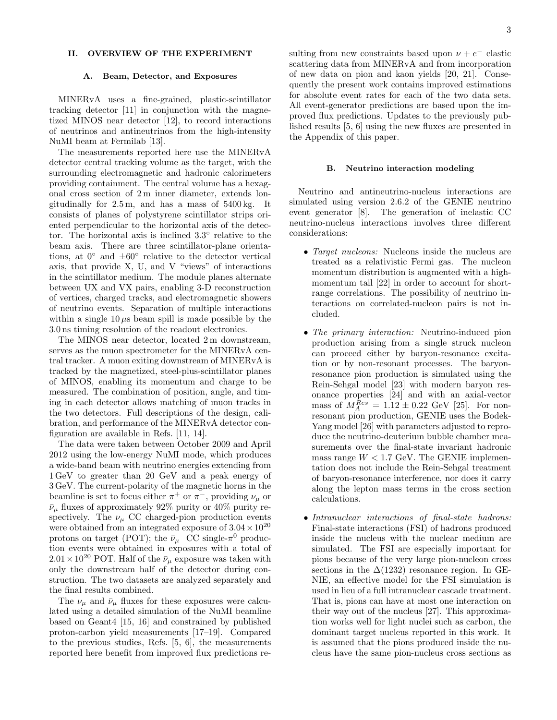#### II. OVERVIEW OF THE EXPERIMENT

#### A. Beam, Detector, and Exposures

MINERvA uses a fine-grained, plastic-scintillator tracking detector [11] in conjunction with the magnetized MINOS near detector [12], to record interactions of neutrinos and antineutrinos from the high-intensity NuMI beam at Fermilab [13].

The measurements reported here use the MINERvA detector central tracking volume as the target, with the surrounding electromagnetic and hadronic calorimeters providing containment. The central volume has a hexagonal cross section of 2 m inner diameter, extends longitudinally for 2.5 m, and has a mass of 5400 kg. It consists of planes of polystyrene scintillator strips oriented perpendicular to the horizontal axis of the detector. The horizontal axis is inclined 3.3◦ relative to the beam axis. There are three scintillator-plane orientations, at  $0°$  and  $\pm 60°$  relative to the detector vertical axis, that provide X, U, and V "views" of interactions in the scintillator medium. The module planes alternate between UX and VX pairs, enabling 3-D reconstruction of vertices, charged tracks, and electromagnetic showers of neutrino events. Separation of multiple interactions within a single  $10 \mu s$  beam spill is made possible by the 3.0 ns timing resolution of the readout electronics.

The MINOS near detector, located 2 m downstream, serves as the muon spectrometer for the MINERvA central tracker. A muon exiting downstream of MINERvA is tracked by the magnetized, steel-plus-scintillator planes of MINOS, enabling its momentum and charge to be measured. The combination of position, angle, and timing in each detector allows matching of muon tracks in the two detectors. Full descriptions of the design, calibration, and performance of the MINERvA detector configuration are available in Refs. [11, 14].

The data were taken between October 2009 and April 2012 using the low-energy NuMI mode, which produces a wide-band beam with neutrino energies extending from 1 GeV to greater than 20 GeV and a peak energy of 3 GeV. The current-polarity of the magnetic horns in the beamline is set to focus either  $\pi^+$  or  $\pi^-$ , providing  $\nu_\mu$  or  $\bar{\nu}_{\mu}$  fluxes of approximately 92% purity or 40% purity respectively. The  $\nu_{\mu}$  CC charged-pion production events were obtained from an integrated exposure of  $3.04 \times 10^{20}$ protons on target (POT); the  $\bar{\nu}_{\mu}$  CC single- $\pi^0$  production events were obtained in exposures with a total of  $2.01\times10^{20}$  POT. Half of the  $\bar\nu_\mu$  exposure was taken with only the downstream half of the detector during construction. The two datasets are analyzed separately and the final results combined.

The  $\nu_{\mu}$  and  $\bar{\nu}_{\mu}$  fluxes for these exposures were calculated using a detailed simulation of the NuMI beamline based on Geant4 [15, 16] and constrained by published proton-carbon yield measurements [17–19]. Compared to the previous studies, Refs. [5, 6], the measurements reported here benefit from improved flux predictions re-

sulting from new constraints based upon  $\nu + e^-$  elastic scattering data from MINERvA and from incorporation of new data on pion and kaon yields [20, 21]. Consequently the present work contains improved estimations for absolute event rates for each of the two data sets. All event-generator predictions are based upon the improved flux predictions. Updates to the previously published results [5, 6] using the new fluxes are presented in the Appendix of this paper.

#### B. Neutrino interaction modeling

Neutrino and antineutrino-nucleus interactions are simulated using version 2.6.2 of the GENIE neutrino event generator [8]. The generation of inelastic CC neutrino-nucleus interactions involves three different considerations:

- *Target nucleons:* Nucleons inside the nucleus are treated as a relativistic Fermi gas. The nucleon momentum distribution is augmented with a highmomentum tail [22] in order to account for shortrange correlations. The possibility of neutrino interactions on correlated-nucleon pairs is not included.
- The primary interaction: Neutrino-induced pion production arising from a single struck nucleon can proceed either by baryon-resonance excitation or by non-resonant processes. The baryonresonance pion production is simulated using the Rein-Sehgal model [23] with modern baryon resonance properties [24] and with an axial-vector mass of  $M_A^{Res} = 1.12 \pm 0.22$  GeV [25]. For nonresonant pion production, GENIE uses the Bodek-Yang model [26] with parameters adjusted to reproduce the neutrino-deuterium bubble chamber measurements over the final-state invariant hadronic mass range  $W < 1.7$  GeV. The GENIE implementation does not include the Rein-Sehgal treatment of baryon-resonance interference, nor does it carry along the lepton mass terms in the cross section calculations.
- Intranuclear interactions of final-state hadrons: Final-state interactions (FSI) of hadrons produced inside the nucleus with the nuclear medium are simulated. The FSI are especially important for pions because of the very large pion-nucleon cross sections in the  $\Delta(1232)$  resonance region. In GE-NIE, an effective model for the FSI simulation is used in lieu of a full intranuclear cascade treatment. That is, pions can have at most one interaction on their way out of the nucleus [27]. This approximation works well for light nuclei such as carbon, the dominant target nucleus reported in this work. It is assumed that the pions produced inside the nucleus have the same pion-nucleus cross sections as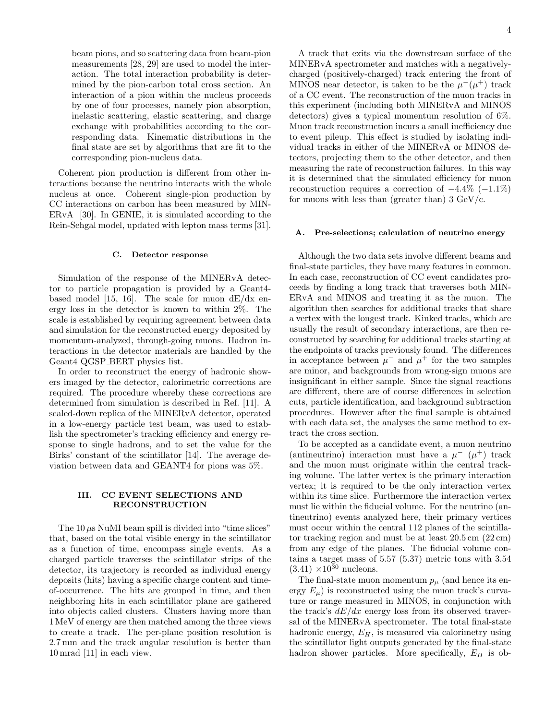beam pions, and so scattering data from beam-pion measurements [28, 29] are used to model the interaction. The total interaction probability is determined by the pion-carbon total cross section. An interaction of a pion within the nucleus proceeds by one of four processes, namely pion absorption, inelastic scattering, elastic scattering, and charge exchange with probabilities according to the corresponding data. Kinematic distributions in the final state are set by algorithms that are fit to the corresponding pion-nucleus data.

Coherent pion production is different from other interactions because the neutrino interacts with the whole nucleus at once. Coherent single-pion production by CC interactions on carbon has been measured by MIN-ERvA [30]. In GENIE, it is simulated according to the Rein-Sehgal model, updated with lepton mass terms [31].

#### C. Detector response

Simulation of the response of the MINERvA detector to particle propagation is provided by a Geant4 based model [15, 16]. The scale for muon  $dE/dx$  energy loss in the detector is known to within 2%. The scale is established by requiring agreement between data and simulation for the reconstructed energy deposited by momentum-analyzed, through-going muons. Hadron interactions in the detector materials are handled by the Geant4 QGSP BERT physics list.

In order to reconstruct the energy of hadronic showers imaged by the detector, calorimetric corrections are required. The procedure whereby these corrections are determined from simulation is described in Ref. [11]. A scaled-down replica of the MINERvA detector, operated in a low-energy particle test beam, was used to establish the spectrometer's tracking efficiency and energy response to single hadrons, and to set the value for the Birks' constant of the scintillator [14]. The average deviation between data and GEANT4 for pions was 5%.

#### III. CC EVENT SELECTIONS AND RECONSTRUCTION

The  $10 \mu s$  NuMI beam spill is divided into "time slices" that, based on the total visible energy in the scintillator as a function of time, encompass single events. As a charged particle traverses the scintillator strips of the detector, its trajectory is recorded as individual energy deposits (hits) having a specific charge content and timeof-occurrence. The hits are grouped in time, and then neighboring hits in each scintillator plane are gathered into objects called clusters. Clusters having more than 1 MeV of energy are then matched among the three views to create a track. The per-plane position resolution is 2.7 mm and the track angular resolution is better than 10 mrad [11] in each view.

A track that exits via the downstream surface of the MINERvA spectrometer and matches with a negativelycharged (positively-charged) track entering the front of MINOS near detector, is taken to be the  $\mu^-(\mu^+)$  track of a CC event. The reconstruction of the muon tracks in this experiment (including both MINERvA and MINOS detectors) gives a typical momentum resolution of 6%. Muon track reconstruction incurs a small inefficiency due to event pileup. This effect is studied by isolating individual tracks in either of the MINERvA or MINOS detectors, projecting them to the other detector, and then measuring the rate of reconstruction failures. In this way it is determined that the simulated efficiency for muon reconstruction requires a correction of  $-4.4\%$  ( $-1.1\%$ ) for muons with less than (greater than)  $3 \text{ GeV}/c$ .

#### A. Pre-selections; calculation of neutrino energy

Although the two data sets involve different beams and final-state particles, they have many features in common. In each case, reconstruction of CC event candidates proceeds by finding a long track that traverses both MIN-ERvA and MINOS and treating it as the muon. The algorithm then searches for additional tracks that share a vertex with the longest track. Kinked tracks, which are usually the result of secondary interactions, are then reconstructed by searching for additional tracks starting at the endpoints of tracks previously found. The differences in acceptance between  $\mu^-$  and  $\mu^+$  for the two samples are minor, and backgrounds from wrong-sign muons are insignificant in either sample. Since the signal reactions are different, there are of course differences in selection cuts, particle identification, and background subtraction procedures. However after the final sample is obtained with each data set, the analyses the same method to extract the cross section.

To be accepted as a candidate event, a muon neutrino (antineutrino) interaction must have a  $\mu^-$  ( $\mu^+$ ) track and the muon must originate within the central tracking volume. The latter vertex is the primary interaction vertex; it is required to be the only interaction vertex within its time slice. Furthermore the interaction vertex must lie within the fiducial volume. For the neutrino (antineutrino) events analyzed here, their primary vertices must occur within the central 112 planes of the scintillator tracking region and must be at least 20.5 cm (22 cm) from any edge of the planes. The fiducial volume contains a target mass of 5.57 (5.37) metric tons with 3.54  $(3.41) \times 10^{30}$  nucleons.

The final-state muon momentum  $p_{\mu}$  (and hence its energy  $E_{\mu}$ ) is reconstructed using the muon track's curvature or range measured in MINOS, in conjunction with the track's  $dE/dx$  energy loss from its observed traversal of the MINERvA spectrometer. The total final-state hadronic energy,  $E_H$ , is measured via calorimetry using the scintillator light outputs generated by the final-state hadron shower particles. More specifically,  $E_H$  is ob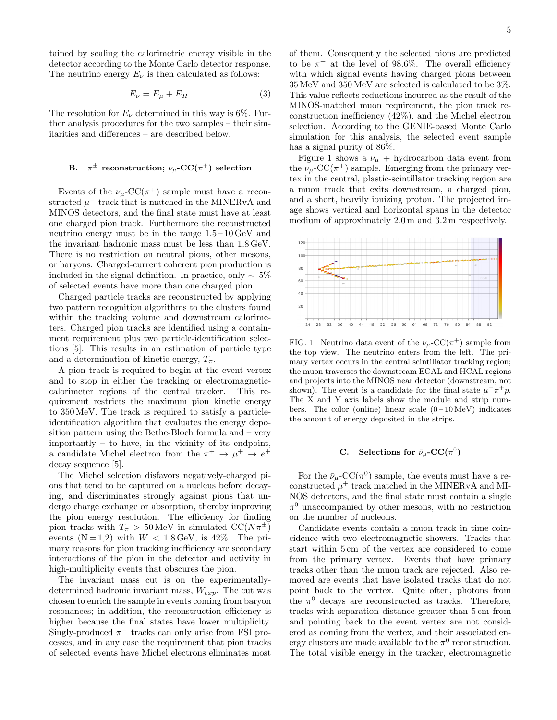tained by scaling the calorimetric energy visible in the detector according to the Monte Carlo detector response. The neutrino energy  $E_{\nu}$  is then calculated as follows:

$$
E_{\nu} = E_{\mu} + E_H. \tag{3}
$$

The resolution for  $E_{\nu}$  determined in this way is 6%. Further analysis procedures for the two samples – their similarities and differences – are described below.

#### $\mathrm{B.} \quad \pi^{\pm} \,\, \text{reconstruction};\ \nu_\mu\text{-CC}(\pi^+) \,\, \text{selection}$

Events of the  $\nu_\mu$ -CC( $\pi^+$ ) sample must have a reconstructed  $\mu^-$  track that is matched in the MINERvA and MINOS detectors, and the final state must have at least one charged pion track. Furthermore the reconstructed neutrino energy must be in the range 1.5 – 10 GeV and the invariant hadronic mass must be less than 1.8 GeV. There is no restriction on neutral pions, other mesons, or baryons. Charged-current coherent pion production is included in the signal definition. In practice, only  $\sim 5\%$ of selected events have more than one charged pion.

Charged particle tracks are reconstructed by applying two pattern recognition algorithms to the clusters found within the tracking volume and downstream calorimeters. Charged pion tracks are identified using a containment requirement plus two particle-identification selections [5]. This results in an estimation of particle type and a determination of kinetic energy,  $T_{\pi}$ .

A pion track is required to begin at the event vertex and to stop in either the tracking or electromagneticcalorimeter regions of the central tracker. This requirement restricts the maximum pion kinetic energy to 350 MeV. The track is required to satisfy a particleidentification algorithm that evaluates the energy deposition pattern using the Bethe-Bloch formula and – very importantly – to have, in the vicinity of its endpoint, a candidate Michel electron from the  $\pi^+ \to \mu^+ \to e^+$ decay sequence [5].

The Michel selection disfavors negatively-charged pions that tend to be captured on a nucleus before decaying, and discriminates strongly against pions that undergo charge exchange or absorption, thereby improving the pion energy resolution. The efficiency for finding pion tracks with  $T_{\pi}$  > 50 MeV in simulated CC( $N\pi^{\pm}$ ) events  $(N=1,2)$  with  $W < 1.8 \,\text{GeV}$ , is 42%. The primary reasons for pion tracking inefficiency are secondary interactions of the pion in the detector and activity in high-multiplicity events that obscures the pion.

The invariant mass cut is on the experimentallydetermined hadronic invariant mass,  $W_{exp}$ . The cut was chosen to enrich the sample in events coming from baryon resonances; in addition, the reconstruction efficiency is higher because the final states have lower multiplicity. Singly-produced  $\pi^-$  tracks can only arise from FSI processes, and in any case the requirement that pion tracks of selected events have Michel electrons eliminates most of them. Consequently the selected pions are predicted to be  $\pi^+$  at the level of 98.6%. The overall efficiency with which signal events having charged pions between 35 MeV and 350 MeV are selected is calculated to be 3%. This value reflects reductions incurred as the result of the MINOS-matched muon requirement, the pion track reconstruction inefficiency (42%), and the Michel electron selection. According to the GENIE-based Monte Carlo simulation for this analysis, the selected event sample has a signal purity of 86%.

Figure 1 shows a  $\nu_{\mu}$  + hydrocarbon data event from the  $\nu_\mu$ -CC( $\pi^+$ ) sample. Emerging from the primary vertex in the central, plastic-scintillator tracking region are a muon track that exits downstream, a charged pion, and a short, heavily ionizing proton. The projected image shows vertical and horizontal spans in the detector medium of approximately 2.0 m and 3.2 m respectively.



FIG. 1. Neutrino data event of the  $\nu_\mu$ -CC( $\pi^+$ ) sample from the top view. The neutrino enters from the left. The primary vertex occurs in the central scintillator tracking region; the muon traverses the downstream ECAL and HCAL regions and projects into the MINOS near detector (downstream, not shown). The event is a candidate for the final state  $\mu^- \pi^+ p$ . The X and Y axis labels show the module and strip numbers. The color (online) linear scale  $(0-10 \,\text{MeV})$  indicates the amount of energy deposited in the strips.

#### C. Selections for  $\bar{\nu}_{\mu}$ -CC( $\pi^0$ )

For the  $\bar{\nu}_{\mu}$ -CC( $\pi^{0}$ ) sample, the events must have a reconstructed  $\mu^+$  track matched in the MINERvA and MI-NOS detectors, and the final state must contain a single  $\pi^0$  unaccompanied by other mesons, with no restriction on the number of nucleons.

Candidate events contain a muon track in time coincidence with two electromagnetic showers. Tracks that start within 5 cm of the vertex are considered to come from the primary vertex. Events that have primary tracks other than the muon track are rejected. Also removed are events that have isolated tracks that do not point back to the vertex. Quite often, photons from the  $\pi^0$  decays are reconstructed as tracks. Therefore, tracks with separation distance greater than 5 cm from and pointing back to the event vertex are not considered as coming from the vertex, and their associated energy clusters are made available to the  $\pi^0$  reconstruction. The total visible energy in the tracker, electromagnetic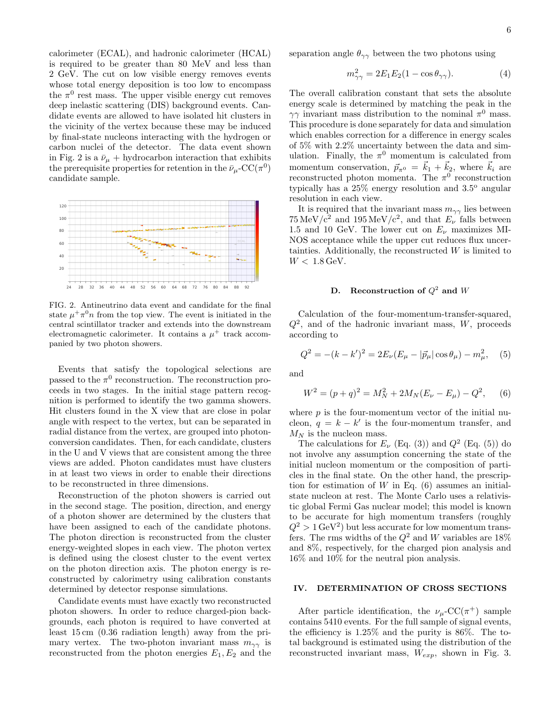calorimeter (ECAL), and hadronic calorimeter (HCAL) is required to be greater than 80 MeV and less than 2 GeV. The cut on low visible energy removes events whose total energy deposition is too low to encompass the  $\pi^0$  rest mass. The upper visible energy cut removes deep inelastic scattering (DIS) background events. Candidate events are allowed to have isolated hit clusters in the vicinity of the vertex because these may be induced by final-state nucleons interacting with the hydrogen or carbon nuclei of the detector. The data event shown in Fig. 2 is a  $\bar{\nu}_{\mu}$  + hydrocarbon interaction that exhibits the prerequisite properties for retention in the  $\bar{\nu}_{\mu}$ -CC( $\pi^0$ ) candidate sample.



FIG. 2. Antineutrino data event and candidate for the final state  $\mu^+\pi^0n$  from the top view. The event is initiated in the central scintillator tracker and extends into the downstream electromagnetic calorimeter. It contains a  $\mu^+$  track accompanied by two photon showers.

Events that satisfy the topological selections are passed to the  $\pi^0$  reconstruction. The reconstruction proceeds in two stages. In the initial stage pattern recognition is performed to identify the two gamma showers. Hit clusters found in the X view that are close in polar angle with respect to the vertex, but can be separated in radial distance from the vertex, are grouped into photonconversion candidates. Then, for each candidate, clusters in the U and V views that are consistent among the three views are added. Photon candidates must have clusters in at least two views in order to enable their directions to be reconstructed in three dimensions.

Reconstruction of the photon showers is carried out in the second stage. The position, direction, and energy of a photon shower are determined by the clusters that have been assigned to each of the candidate photons. The photon direction is reconstructed from the cluster energy-weighted slopes in each view. The photon vertex is defined using the closest cluster to the event vertex on the photon direction axis. The photon energy is reconstructed by calorimetry using calibration constants determined by detector response simulations.

Candidate events must have exactly two reconstructed photon showers. In order to reduce charged-pion backgrounds, each photon is required to have converted at least 15 cm (0.36 radiation length) away from the primary vertex. The two-photon invariant mass  $m_{\gamma\gamma}$  is reconstructed from the photon energies  $E_1, E_2$  and the separation angle  $\theta_{\gamma\gamma}$  between the two photons using

$$
m_{\gamma\gamma}^2 = 2E_1E_2(1 - \cos\theta_{\gamma\gamma}).\tag{4}
$$

The overall calibration constant that sets the absolute energy scale is determined by matching the peak in the  $\gamma\gamma$  invariant mass distribution to the nominal  $\pi^0$  mass. This procedure is done separately for data and simulation which enables correction for a difference in energy scales of 5% with 2.2% uncertainty between the data and simulation. Finally, the  $\pi^0$  momentum is calculated from momentum conservation,  $\vec{p}_{\pi^0} = \vec{k}_1 + \vec{k}_2$ , where  $\vec{k}_i$  are reconstructed photon momenta. The  $\pi^0$  reconstruction typically has a  $25\%$  energy resolution and  $3.5^\circ$  angular resolution in each view.

It is required that the invariant mass  $m_{\gamma\gamma}$  lies between  $75 \,\mathrm{MeV}/c^2$  and  $195 \,\mathrm{MeV}/c^2$ , and that  $E_{\nu}$  falls between 1.5 and 10 GeV. The lower cut on  $E_{\nu}$  maximizes MI-NOS acceptance while the upper cut reduces flux uncertainties. Additionally, the reconstructed  $W$  is limited to  $W < 1.8 \,\text{GeV}$ .

#### D. Reconstruction of  $Q^2$  and W

Calculation of the four-momentum-transfer-squared,  $Q^2$ , and of the hadronic invariant mass, W, proceeds according to

$$
Q^{2} = -(k - k')^{2} = 2E_{\nu}(E_{\mu} - |\vec{p}_{\mu}| \cos \theta_{\mu}) - m_{\mu}^{2}, \quad (5)
$$

and

$$
W^{2} = (p+q)^{2} = M_{N}^{2} + 2M_{N}(E_{\nu} - E_{\mu}) - Q^{2},
$$
 (6)

where  $p$  is the four-momentum vector of the initial nucleon,  $q = k - k'$  is the four-momentum transfer, and  $M_N$  is the nucleon mass.

The calculations for  $E_{\nu}$  (Eq. (3)) and  $Q^2$  (Eq. (5)) do not involve any assumption concerning the state of the initial nucleon momentum or the composition of particles in the final state. On the other hand, the prescription for estimation of  $W$  in Eq. (6) assumes an initialstate nucleon at rest. The Monte Carlo uses a relativistic global Fermi Gas nuclear model; this model is known to be accurate for high momentum transfers (roughly  $Q^2 > 1 \,\text{GeV}^2$  but less accurate for low momentum transfers. The rms widths of the  $Q^2$  and W variables are 18% and 8%, respectively, for the charged pion analysis and 16% and 10% for the neutral pion analysis.

#### IV. DETERMINATION OF CROSS SECTIONS

After particle identification, the  $\nu_\mu$ -CC( $\pi^+$ ) sample contains 5410 events. For the full sample of signal events, the efficiency is 1.25% and the purity is 86%. The total background is estimated using the distribution of the reconstructed invariant mass,  $W_{exp}$ , shown in Fig. 3.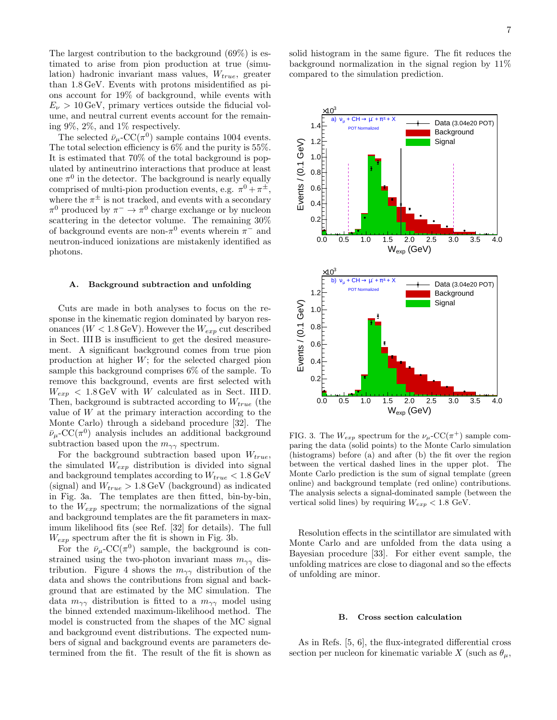The largest contribution to the background (69%) is estimated to arise from pion production at true (simulation) hadronic invariant mass values,  $W_{true}$ , greater than 1.8 GeV. Events with protons misidentified as pions account for 19% of background, while events with  $E_{\nu} > 10 \,\text{GeV}$ , primary vertices outside the fiducial volume, and neutral current events account for the remaining 9%, 2%, and 1% respectively.

The selected  $\bar{\nu}_{\mu}$ -CC( $\pi^{0}$ ) sample contains 1004 events. The total selection efficiency is 6% and the purity is 55%. It is estimated that 70% of the total background is populated by antineutrino interactions that produce at least one  $\pi^0$  in the detector. The background is nearly equally comprised of multi-pion production events, e.g.  $\pi^0 + \pi^{\pm}$ , where the  $\pi^{\pm}$  is not tracked, and events with a secondary  $\pi^0$  produced by  $\pi^- \to \pi^0$  charge exchange or by nucleon scattering in the detector volume. The remaining 30% of background events are non- $\pi^0$  events wherein  $\pi^-$  and neutron-induced ionizations are mistakenly identified as photons.

#### A. Background subtraction and unfolding

Cuts are made in both analyses to focus on the response in the kinematic region dominated by baryon resonances ( $W < 1.8 \,\text{GeV}$ ). However the  $W_{exp}$  cut described in Sect. III B is insufficient to get the desired measurement. A significant background comes from true pion production at higher W; for the selected charged pion sample this background comprises 6% of the sample. To remove this background, events are first selected with  $W_{exp}$  < 1.8 GeV with W calculated as in Sect. III D. Then, background is subtracted according to  $W_{true}$  (the value of W at the primary interaction according to the Monte Carlo) through a sideband procedure [32]. The  $\bar{\nu}_{\mu}$ -CC( $\pi^{0}$ ) analysis includes an additional background subtraction based upon the  $m_{\gamma\gamma}$  spectrum.

For the background subtraction based upon  $W_{true}$ , the simulated  $W_{exp}$  distribution is divided into signal and background templates according to  $W_{true} < 1.8 \,{\rm GeV}$ (signal) and  $W_{true} > 1.8 \,\text{GeV}$  (background) as indicated in Fig. 3a. The templates are then fitted, bin-by-bin, to the  $W_{exp}$  spectrum; the normalizations of the signal and background templates are the fit parameters in maximum likelihood fits (see Ref. [32] for details). The full  $W_{exp}$  spectrum after the fit is shown in Fig. 3b.

For the  $\bar{\nu}_{\mu}$ -CC( $\pi^{0}$ ) sample, the background is constrained using the two-photon invariant mass  $m_{\gamma\gamma}$  distribution. Figure 4 shows the  $m_{\gamma\gamma}$  distribution of the data and shows the contributions from signal and background that are estimated by the MC simulation. The data  $m_{\gamma\gamma}$  distribution is fitted to a  $m_{\gamma\gamma}$  model using the binned extended maximum-likelihood method. The model is constructed from the shapes of the MC signal and background event distributions. The expected numbers of signal and background events are parameters determined from the fit. The result of the fit is shown as

solid histogram in the same figure. The fit reduces the background normalization in the signal region by 11% compared to the simulation prediction.



FIG. 3. The  $W_{exp}$  spectrum for the  $\nu_\mu$ -CC( $\pi^+$ ) sample comparing the data (solid points) to the Monte Carlo simulation (histograms) before (a) and after (b) the fit over the region between the vertical dashed lines in the upper plot. The Monte Carlo prediction is the sum of signal template (green online) and background template (red online) contributions. The analysis selects a signal-dominated sample (between the vertical solid lines) by requiring  $W_{exp} < 1.8$  GeV.

Resolution effects in the scintillator are simulated with Monte Carlo and are unfolded from the data using a Bayesian procedure [33]. For either event sample, the unfolding matrices are close to diagonal and so the effects of unfolding are minor.

#### B. Cross section calculation

As in Refs. [5, 6], the flux-integrated differential cross section per nucleon for kinematic variable X (such as  $\theta_{\mu}$ ,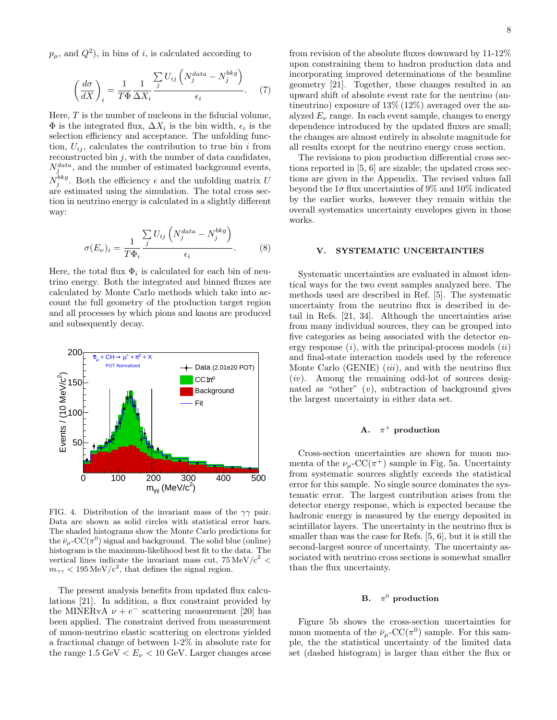$p_{\mu}$ , and  $Q^2$ ), in bins of *i*, is calculated according to

$$
\left(\frac{d\sigma}{dX}\right)_i = \frac{1}{T\Phi} \frac{1}{\Delta X_i} \frac{\sum\limits_j U_{ij} \left(N_j^{data} - N_j^{bkg}\right)}{\epsilon_i}.
$$
 (7)

Here,  $T$  is the number of nucleons in the fiducial volume,  $\Phi$  is the integrated flux,  $\Delta X_i$  is the bin width,  $\epsilon_i$  is the selection efficiency and acceptance. The unfolding function,  $U_{ij}$ , calculates the contribution to true bin *i* from reconstructed bin  $j$ , with the number of data candidates,  $N_j^{data}$ , and the number of estimated background events,  $N_j^{bkg}$ . Both the efficiency  $\epsilon$  and the unfolding matrix U are estimated using the simulation. The total cross section in neutrino energy is calculated in a slightly different way:

$$
\sigma(E_{\nu})_i = \frac{1}{T\Phi_i} \frac{\sum_{j} U_{ij} \left( N_j^{data} - N_j^{bkg} \right)}{\epsilon_i}.
$$
 (8)

Here, the total flux  $\Phi_i$  is calculated for each bin of neutrino energy. Both the integrated and binned fluxes are calculated by Monte Carlo methods which take into account the full geometry of the production target region and all processes by which pions and kaons are produced and subsequently decay.



FIG. 4. Distribution of the invariant mass of the  $\gamma\gamma$  pair. Data are shown as solid circles with statistical error bars. The shaded histograms show the Monte Carlo predictions for the  $\bar{\nu}_{\mu}$ -CC( $\pi^0$ ) signal and background. The solid blue (online) histogram is the maximum-likelihood best fit to the data. The vertical lines indicate the invariant mass cut,  $75 \,\mathrm{MeV}/c^2$  <  $m_{\gamma\gamma}$  < 195 MeV/c<sup>2</sup>, that defines the signal region.

The present analysis benefits from updated flux calculations [21]. In addition, a flux constraint provided by the MINERvA  $\nu + e^-$  scattering measurement [20] has been applied. The constraint derived from measurement of muon-neutrino elastic scattering on electrons yielded a fractional change of between 1-2% in absolute rate for the range  $1.5 \text{ GeV} < E_{\nu} < 10 \text{ GeV}$ . Larger changes arose from revision of the absolute fluxes downward by 11-12% upon constraining them to hadron production data and incorporating improved determinations of the beamline geometry [21]. Together, these changes resulted in an upward shift of absolute event rate for the neutrino (antineutrino) exposure of  $13\%$  ( $12\%$ ) averaged over the analyzed  $E_{\nu}$  range. In each event sample, changes to energy dependence introduced by the updated fluxes are small; the changes are almost entirely in absolute magnitude for all results except for the neutrino energy cross section.

The revisions to pion production differential cross sections reported in [5, 6] are sizable; the updated cross sections are given in the Appendix. The revised values fall beyond the  $1\sigma$  flux uncertainties of 9% and 10% indicated by the earlier works, however they remain within the overall systematics uncertainty envelopes given in those works.

#### V. SYSTEMATIC UNCERTAINTIES

Systematic uncertainties are evaluated in almost identical ways for the two event samples analyzed here. The methods used are described in Ref. [5]. The systematic uncertainty from the neutrino flux is described in detail in Refs. [21, 34]. Although the uncertainties arise from many individual sources, they can be grouped into five categories as being associated with the detector energy response  $(i)$ , with the principal-process models  $(ii)$ and final-state interaction models used by the reference Monte Carlo (GENIE)  $(iii)$ , and with the neutrino flux  $(iv)$ . Among the remaining odd-lot of sources designated as "other"  $(v)$ , subtraction of background gives the largest uncertainty in either data set.

#### $\mathbf{A}$ .  $\pi^+$  production

Cross-section uncertainties are shown for muon momenta of the  $\nu_\mu$ -CC( $\pi^+$ ) sample in Fig. 5a. Uncertainty from systematic sources slightly exceeds the statistical error for this sample. No single source dominates the systematic error. The largest contribution arises from the detector energy response, which is expected because the hadronic energy is measured by the energy deposited in scintillator layers. The uncertainty in the neutrino flux is smaller than was the case for Refs. [5, 6], but it is still the second-largest source of uncertainty. The uncertainty associated with neutrino cross sections is somewhat smaller than the flux uncertainty.

#### B.  $\pi^0$  production

Figure 5b shows the cross-section uncertainties for muon momenta of the  $\bar{\nu}_{\mu}$ -CC( $\pi^{0}$ ) sample. For this sample, the the statistical uncertainty of the limited data set (dashed histogram) is larger than either the flux or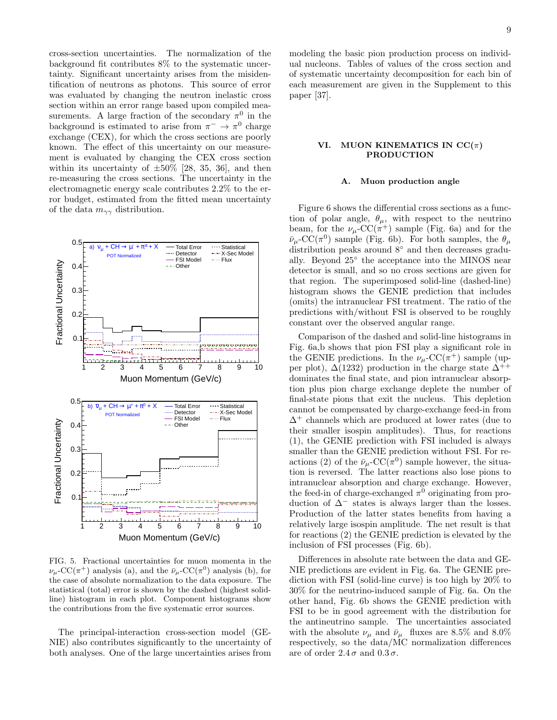cross-section uncertainties. The normalization of the background fit contributes 8% to the systematic uncertainty. Significant uncertainty arises from the misidentification of neutrons as photons. This source of error was evaluated by changing the neutron inelastic cross section within an error range based upon compiled measurements. A large fraction of the secondary  $\pi^0$  in the background is estimated to arise from  $\pi^- \to \pi^0$  charge exchange (CEX), for which the cross sections are poorly known. The effect of this uncertainty on our measurement is evaluated by changing the CEX cross section within its uncertainty of  $\pm 50\%$  [28, 35, 36], and then re-measuring the cross sections. The uncertainty in the electromagnetic energy scale contributes 2.2% to the error budget, estimated from the fitted mean uncertainty of the data  $m_{\gamma\gamma}$  distribution.



FIG. 5. Fractional uncertainties for muon momenta in the  $\nu_\mu$ -CC( $\pi^+$ ) analysis (a), and the  $\bar{\nu}_\mu$ -CC( $\pi^0$ ) analysis (b), for the case of absolute normalization to the data exposure. The statistical (total) error is shown by the dashed (highest solidline) histogram in each plot. Component histograms show the contributions from the five systematic error sources.

The principal-interaction cross-section model (GE-NIE) also contributes significantly to the uncertainty of both analyses. One of the large uncertainties arises from

modeling the basic pion production process on individual nucleons. Tables of values of the cross section and of systematic uncertainty decomposition for each bin of each measurement are given in the Supplement to this paper [37].

#### VI. MUON KINEMATICS IN  $CC(\pi)$ PRODUCTION

#### A. Muon production angle

Figure 6 shows the differential cross sections as a function of polar angle,  $\theta_{\mu}$ , with respect to the neutrino beam, for the  $\nu_\mu$ -CC( $\pi^+$ ) sample (Fig. 6a) and for the  $\bar{\nu}_{\mu}$ -CC( $\pi^{0}$ ) sample (Fig. 6b). For both samples, the  $\theta_{\mu}$ distribution peaks around 8◦ and then decreases gradually. Beyond 25◦ the acceptance into the MINOS near detector is small, and so no cross sections are given for that region. The superimposed solid-line (dashed-line) histogram shows the GENIE prediction that includes (omits) the intranuclear FSI treatment. The ratio of the predictions with/without FSI is observed to be roughly constant over the observed angular range.

Comparison of the dashed and solid-line histograms in Fig. 6a,b shows that pion FSI play a significant role in the GENIE predictions. In the  $\nu_\mu$ -CC( $\pi^+$ ) sample (upper plot),  $\Delta(1232)$  production in the charge state  $\Delta^{++}$ dominates the final state, and pion intranuclear absorption plus pion charge exchange deplete the number of final-state pions that exit the nucleus. This depletion cannot be compensated by charge-exchange feed-in from  $\Delta^+$  channels which are produced at lower rates (due to their smaller isospin amplitudes). Thus, for reactions (1), the GENIE prediction with FSI included is always smaller than the GENIE prediction without FSI. For reactions (2) of the  $\bar{\nu}_{\mu}$ -CC( $\pi^{0}$ ) sample however, the situation is reversed. The latter reactions also lose pions to intranuclear absorption and charge exchange. However, the feed-in of charge-exchanged  $\pi^0$  originating from production of  $\Delta^-$  states is always larger than the losses. Production of the latter states benefits from having a relatively large isospin amplitude. The net result is that for reactions (2) the GENIE prediction is elevated by the inclusion of FSI processes (Fig. 6b).

Differences in absolute rate between the data and GE-NIE predictions are evident in Fig. 6a. The GENIE prediction with FSI (solid-line curve) is too high by 20% to 30% for the neutrino-induced sample of Fig. 6a. On the other hand, Fig. 6b shows the GENIE prediction with FSI to be in good agreement with the distribution for the antineutrino sample. The uncertainties associated with the absolute  $\nu_\mu$  and  $\bar\nu_\mu\;$  fluxes are 8.5% and 8.0% respectively, so the data/MC normalization differences are of order  $2.4\sigma$  and  $0.3\sigma$ .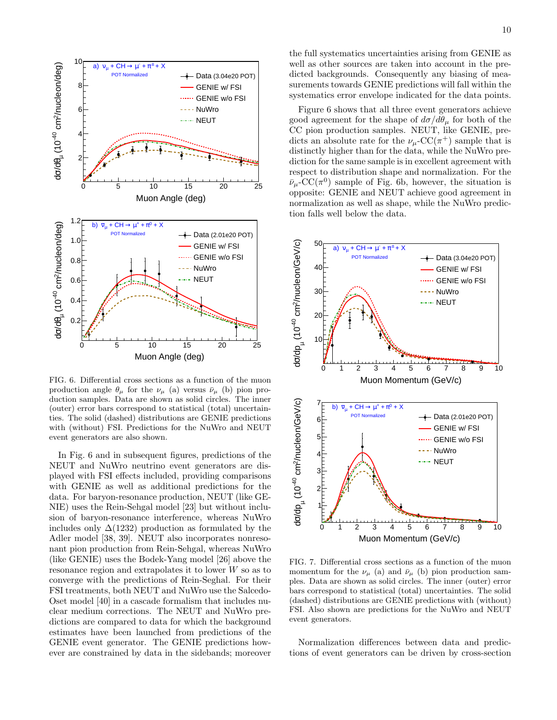

FIG. 6. Differential cross sections as a function of the muon production angle  $\theta_{\mu}$  for the  $\nu_{\mu}$  (a) versus  $\bar{\nu}_{\mu}$  (b) pion production samples. Data are shown as solid circles. The inner (outer) error bars correspond to statistical (total) uncertainties. The solid (dashed) distributions are GENIE predictions with (without) FSI. Predictions for the NuWro and NEUT event generators are also shown.

In Fig. 6 and in subsequent figures, predictions of the NEUT and NuWro neutrino event generators are displayed with FSI effects included, providing comparisons with GENIE as well as additional predictions for the data. For baryon-resonance production, NEUT (like GE-NIE) uses the Rein-Sehgal model [23] but without inclusion of baryon-resonance interference, whereas NuWro includes only  $\Delta(1232)$  production as formulated by the Adler model [38, 39]. NEUT also incorporates nonresonant pion production from Rein-Sehgal, whereas NuWro (like GENIE) uses the Bodek-Yang model [26] above the resonance region and extrapolates it to lower W so as to converge with the predictions of Rein-Seghal. For their FSI treatments, both NEUT and NuWro use the Salcedo-Oset model [40] in a cascade formalism that includes nuclear medium corrections. The NEUT and NuWro predictions are compared to data for which the background estimates have been launched from predictions of the GENIE event generator. The GENIE predictions however are constrained by data in the sidebands; moreover

the full systematics uncertainties arising from GENIE as well as other sources are taken into account in the predicted backgrounds. Consequently any biasing of measurements towards GENIE predictions will fall within the systematics error envelope indicated for the data points.

Figure 6 shows that all three event generators achieve good agreement for the shape of  $d\sigma/d\theta_\mu$  for both of the CC pion production samples. NEUT, like GENIE, predicts an absolute rate for the  $\nu_\mu$ -CC( $\pi^+$ ) sample that is distinctly higher than for the data, while the NuWro prediction for the same sample is in excellent agreement with respect to distribution shape and normalization. For the  $\bar{\nu}_{\mu}$ -CC( $\pi^{0}$ ) sample of Fig. 6b, however, the situation is opposite: GENIE and NEUT achieve good agreement in normalization as well as shape, while the NuWro prediction falls well below the data.



FIG. 7. Differential cross sections as a function of the muon momentum for the  $\nu_{\mu}$  (a) and  $\bar{\nu}_{\mu}$  (b) pion production samples. Data are shown as solid circles. The inner (outer) error bars correspond to statistical (total) uncertainties. The solid (dashed) distributions are GENIE predictions with (without) FSI. Also shown are predictions for the NuWro and NEUT event generators.

Normalization differences between data and predictions of event generators can be driven by cross-section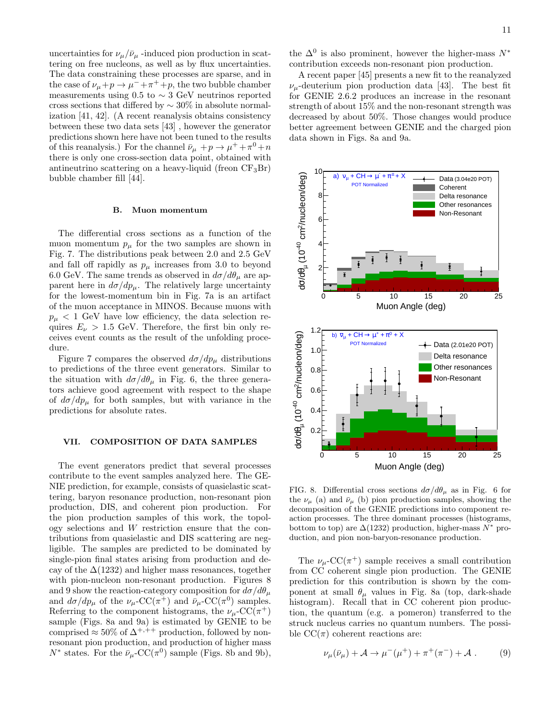uncertainties for  $\nu_{\mu}/\bar{\nu}_{\mu}$  -induced pion production in scattering on free nucleons, as well as by flux uncertainties. The data constraining these processes are sparse, and in the case of  $\nu_\mu + p \to \mu^- + \pi^+ + p$ , the two bubble chamber measurements using 0.5 to  $\sim$  3 GeV neutrinos reported cross sections that differed by  $\sim 30\%$  in absolute normalization [41, 42]. (A recent reanalysis obtains consistency between these two data sets [43] , however the generator predictions shown here have not been tuned to the results of this reanalysis.) For the channel  $\bar{\nu}_{\mu} + p \rightarrow \mu^{+} + \pi^{0} + n$ there is only one cross-section data point, obtained with antineutrino scattering on a heavy-liquid (freon  $CF_3Br$ ) bubble chamber fill [44].

#### B. Muon momentum

The differential cross sections as a function of the muon momentum  $p_{\mu}$  for the two samples are shown in Fig. 7. The distributions peak between 2.0 and 2.5 GeV and fall off rapidly as  $p_{\mu}$  increases from 3.0 to beyond 6.0 GeV. The same trends as observed in  $d\sigma/d\theta_\mu$  are apparent here in  $d\sigma/dp_{\mu}$ . The relatively large uncertainty for the lowest-momentum bin in Fig. 7a is an artifact of the muon acceptance in MINOS. Because muons with  $p_{\mu}$  < 1 GeV have low efficiency, the data selection requires  $E_{\nu} > 1.5$  GeV. Therefore, the first bin only receives event counts as the result of the unfolding procedure.

Figure 7 compares the observed  $d\sigma/dp_{\mu}$  distributions to predictions of the three event generators. Similar to the situation with  $d\sigma/d\theta_\mu$  in Fig. 6, the three generators achieve good agreement with respect to the shape of  $d\sigma/dp_{\mu}$  for both samples, but with variance in the predictions for absolute rates.

#### VII. COMPOSITION OF DATA SAMPLES

The event generators predict that several processes contribute to the event samples analyzed here. The GE-NIE prediction, for example, consists of quasielastic scattering, baryon resonance production, non-resonant pion production, DIS, and coherent pion production. For the pion production samples of this work, the topology selections and W restriction ensure that the contributions from quasielastic and DIS scattering are negligible. The samples are predicted to be dominated by single-pion final states arising from production and decay of the  $\Delta(1232)$  and higher mass resonances, together with pion-nucleon non-resonant production. Figures 8 and 9 show the reaction-category composition for  $d\sigma/d\theta_u$ and  $d\sigma/dp_{\mu}$  of the  $\nu_{\mu}$ -CC( $\pi^{+}$ ) and  $\bar{\nu}_{\mu}$ -CC( $\pi^{0}$ ) samples. Referring to the component histograms, the  $\nu_\mu$ -CC( $\pi^+$ ) sample (Figs. 8a and 9a) is estimated by GENIE to be comprised  $\approx 50\%$  of  $\Delta^{+,++}$  production, followed by nonresonant pion production, and production of higher mass  $N^*$  states. For the  $\bar{\nu}_{\mu}$ -CC( $\pi^0$ ) sample (Figs. 8b and 9b),

the  $\Delta^{0}$  is also prominent, however the higher-mass  $N^*$ contribution exceeds non-resonant pion production.

A recent paper [45] presents a new fit to the reanalyzed  $\nu_{\mu}$ -deuterium pion production data [43]. The best fit for GENIE 2.6.2 produces an increase in the resonant strength of about 15% and the non-resonant strength was decreased by about 50%. Those changes would produce better agreement between GENIE and the charged pion data shown in Figs. 8a and 9a.



FIG. 8. Differential cross sections  $d\sigma/d\theta_{\mu}$  as in Fig. 6 for the  $\nu_{\mu}$  (a) and  $\bar{\nu}_{\mu}$  (b) pion production samples, showing the decomposition of the GENIE predictions into component reaction processes. The three dominant processes (histograms, bottom to top) are  $\Delta(1232)$  production, higher-mass  $N^*$  production, and pion non-baryon-resonance production.

The  $\nu_\mu$ -CC( $\pi^+$ ) sample receives a small contribution from CC coherent single pion production. The GENIE prediction for this contribution is shown by the component at small  $\theta_{\mu}$  values in Fig. 8a (top, dark-shade histogram). Recall that in CC coherent pion production, the quantum (e.g. a pomeron) transferred to the struck nucleus carries no quantum numbers. The possible  $CC(\pi)$  coherent reactions are:

$$
\nu_{\mu}(\bar{\nu}_{\mu}) + \mathcal{A} \to \mu^{-}(\mu^{+}) + \pi^{+}(\pi^{-}) + \mathcal{A} . \tag{9}
$$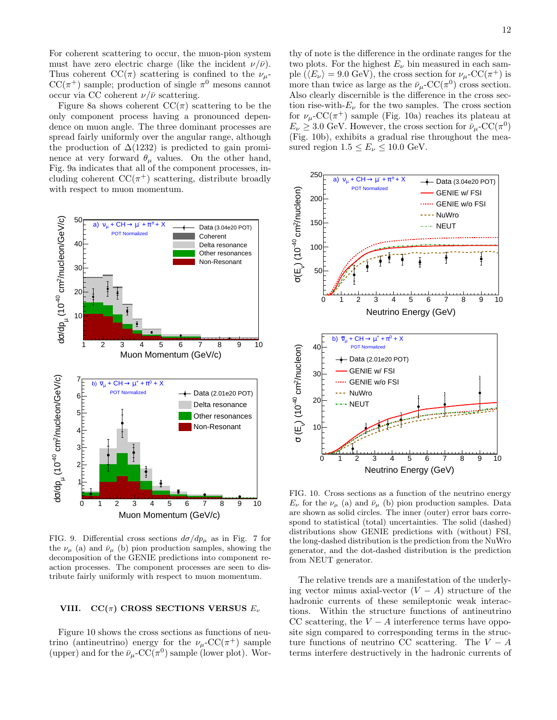For coherent scattering to occur, the muon-pion system must have zero electric charge (like the incident  $\nu/\bar{\nu}$ ). Thus coherent  $\mathrm{CC}(\pi)$  scattering is confined to the  $\nu_{\mu}$ - $CC(\pi^+)$  sample; production of single  $\pi^0$  mesons cannot occur via CC coherent  $\nu/\bar{\nu}$  scattering.

Figure 8a shows coherent  $\mathrm{CC}(\pi)$  scattering to be the only component process having a pronounced dependence on muon angle. The three dominant processes are spread fairly uniformly over the angular range, although the production of  $\Delta(1232)$  is predicted to gain prominence at very forward  $\theta_{\mu}$  values. On the other hand, Fig. 9a indicates that all of the component processes, including coherent  $CC(\pi^+)$  scattering, distribute broadly with respect to muon momentum.



FIG. 9. Differential cross sections  $d\sigma/dp_{\mu}$  as in Fig. 7 for the  $\nu_{\mu}$  (a) and  $\bar{\nu}_{\mu}$  (b) pion production samples, showing the decomposition of the GENIE predictions into component reaction processes. The component processes are seen to distribute fairly uniformly with respect to muon momentum.

#### VIII.  $CC(\pi)$  CROSS SECTIONS VERSUS  $E_{\nu}$

Figure 10 shows the cross sections as functions of neutrino (antineutrino) energy for the  $\nu_\mu$ -CC( $\pi^+$ ) sample (upper) and for the  $\bar{\nu}_{\mu}$ -CC( $\pi^{0}$ ) sample (lower plot). Wor-

thy of note is the difference in the ordinate ranges for the two plots. For the highest  $E_{\nu}$  bin measured in each sample ( $\langle E_{\nu} \rangle = 9.0 \text{ GeV}$ ), the cross section for  $\nu_{\mu}$ -CC( $\pi^{+}$ ) is more than twice as large as the  $\bar{\nu}_{\mu}$ -CC( $\pi^{0}$ ) cross section. Also clearly discernible is the difference in the cross section rise-with- $E_{\nu}$  for the two samples. The cross section for  $\nu_\mu$ -CC( $\pi^+$ ) sample (Fig. 10a) reaches its plateau at  $E_{\nu} \geq 3.0$  GeV. However, the cross section for  $\bar{\nu}_{\mu}$ -CC( $\pi^{0}$ ) (Fig. 10b), exhibits a gradual rise throughout the measured region  $1.5 \le E_{\nu} \le 10.0$  GeV.



FIG. 10. Cross sections as a function of the neutrino energy  $E_{\nu}$  for the  $\nu_{\mu}$  (a) and  $\bar{\nu}_{\mu}$  (b) pion production samples. Data are shown as solid circles. The inner (outer) error bars correspond to statistical (total) uncertainties. The solid (dashed) distributions show GENIE predictions with (without) FSI, the long-dashed distribution is the prediction from the NuWro generator, and the dot-dashed distribution is the prediction from NEUT generator.

The relative trends are a manifestation of the underlying vector minus axial-vector  $(V - A)$  structure of the hadronic currents of these semileptonic weak interactions. Within the structure functions of antineutrino CC scattering, the  $V - A$  interference terms have opposite sign compared to corresponding terms in the structure functions of neutrino CC scattering. The  $V - A$ terms interfere destructively in the hadronic currents of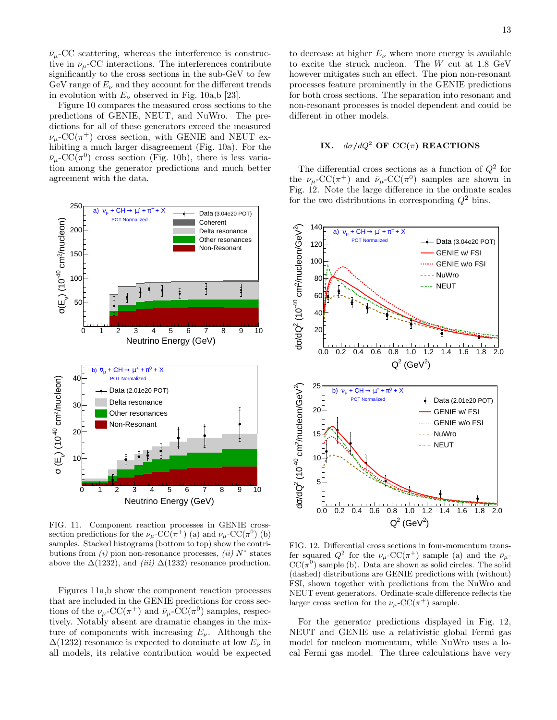$\bar{\nu}_{\mu}$ -CC scattering, whereas the interference is constructive in  $\nu_\mu$ -CC interactions. The interferences contribute significantly to the cross sections in the sub-GeV to few GeV range of  $E_{\nu}$  and they account for the different trends in evolution with  $E_{\nu}$  observed in Fig. 10a,b [23].

Figure 10 compares the measured cross sections to the predictions of GENIE, NEUT, and NuWro. The predictions for all of these generators exceed the measured  $\nu_\mu$ -CC( $\pi^+$ ) cross section, with GENIE and NEUT exhibiting a much larger disagreement (Fig. 10a). For the  $\bar{\nu}_{\mu}$ -CC( $\pi^{0}$ ) cross section (Fig. 10b), there is less variation among the generator predictions and much better agreement with the data.



FIG. 11. Component reaction processes in GENIE crosssection predictions for the  $\nu_\mu$ -CC( $\pi^+$ ) (a) and  $\bar{\nu}_\mu$ -CC( $\pi^0$ ) (b) samples. Stacked histograms (bottom to top) show the contributions from  $(i)$  pion non-resonance processes,  $(ii)$   $N^*$  states above the  $\Delta(1232)$ , and *(iii)*  $\Delta(1232)$  resonance production.

Figures 11a,b show the component reaction processes that are included in the GENIE predictions for cross sections of the  $\nu_\mu$ -CC( $\pi^+$ ) and  $\bar{\nu}_\mu$ -CC( $\pi^0$ ) samples, respectively. Notably absent are dramatic changes in the mixture of components with increasing  $E_{\nu}$ . Although the  $\Delta(1232)$  resonance is expected to dominate at low  $E_{\nu}$  in all models, its relative contribution would be expected

to decrease at higher  $E_{\nu}$  where more energy is available to excite the struck nucleon. The W cut at 1.8 GeV however mitigates such an effect. The pion non-resonant processes feature prominently in the GENIE predictions for both cross sections. The separation into resonant and non-resonant processes is model dependent and could be different in other models.

### IX.  $d\sigma/dQ^2$  OF CC( $\pi$ ) REACTIONS

The differential cross sections as a function of  $Q^2$  for the  $\nu_\mu$ -CC( $\pi^+$ ) and  $\bar{\nu}_\mu$ -CC( $\pi^0$ ) samples are shown in Fig. 12. Note the large difference in the ordinate scales for the two distributions in corresponding  $Q^2$  bins.



FIG. 12. Differential cross sections in four-momentum transfer squared  $Q^2$  for the  $\nu_\mu$ -CC( $\pi^+$ ) sample (a) and the  $\bar{\nu}_\mu$ - $CC(\pi^0)$  sample (b). Data are shown as solid circles. The solid (dashed) distributions are GENIE predictions with (without) FSI, shown together with predictions from the NuWro and NEUT event generators. Ordinate-scale difference reflects the larger cross section for the  $\nu_\mu$ -CC( $\pi^+$ ) sample.

For the generator predictions displayed in Fig. 12, NEUT and GENIE use a relativistic global Fermi gas model for nucleon momentum, while NuWro uses a local Fermi gas model. The three calculations have very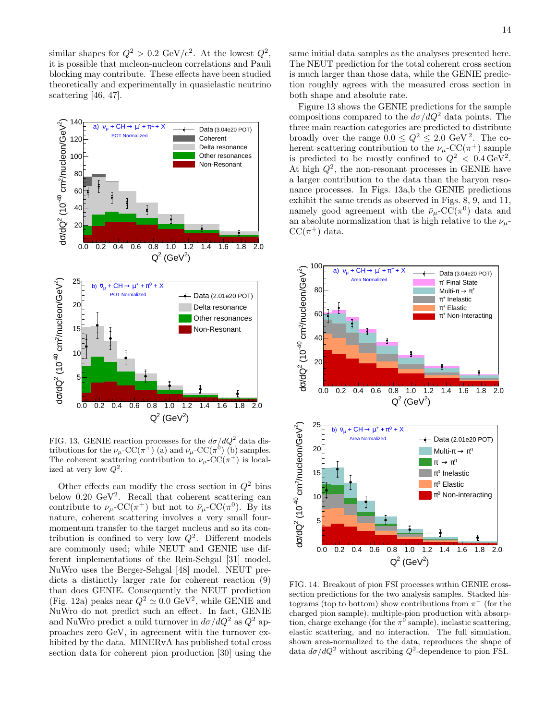similar shapes for  $Q^2 > 0.2 \text{ GeV}/c^2$ . At the lowest  $Q^2$ , it is possible that nucleon-nucleon correlations and Pauli blocking may contribute. These effects have been studied theoretically and experimentally in quasielastic neutrino scattering [46, 47].



FIG. 13. GENIE reaction processes for the  $d\sigma/dQ^2$  data distributions for the  $\nu_\mu$ -CC( $\pi^+$ ) (a) and  $\bar{\nu}_\mu$ -CC( $\pi^0$ ) (b) samples. The coherent scattering contribution to  $\nu_\mu$ -CC( $\pi^+$ ) is localized at very low  $Q^2$ .

Other effects can modify the cross section in  $Q^2$  bins below  $0.20 \text{ GeV}^2$ . Recall that coherent scattering can contribute to  $\nu_\mu$ -CC( $\pi^+$ ) but not to  $\bar{\nu}_\mu$ -CC( $\pi^0$ ). By its nature, coherent scattering involves a very small fourmomentum transfer to the target nucleus and so its contribution is confined to very low  $Q^2$ . Different models are commonly used; while NEUT and GENIE use different implementations of the Rein-Sehgal [31] model, NuWro uses the Berger-Sehgal [48] model. NEUT predicts a distinctly larger rate for coherent reaction (9) than does GENIE. Consequently the NEUT prediction (Fig. 12a) peaks near  $Q^2 \simeq 0.0 \text{ GeV}^2$ , while GENIE and NuWro do not predict such an effect. In fact, GENIE and NuWro predict a mild turnover in  $d\sigma/dQ^2$  as  $Q^2$  approaches zero GeV, in agreement with the turnover exhibited by the data. MINERvA has published total cross section data for coherent pion production [30] using the

same initial data samples as the analyses presented here. The NEUT prediction for the total coherent cross section is much larger than those data, while the GENIE prediction roughly agrees with the measured cross section in both shape and absolute rate.

Figure 13 shows the GENIE predictions for the sample compositions compared to the  $d\sigma/dQ^2$  data points. The three main reaction categories are predicted to distribute broadly over the range  $0.0 \leq Q^2 \leq 2.0 \text{ GeV}^2$ . The coherent scattering contribution to the  $\nu_\mu$ -CC( $\pi^+$ ) sample is predicted to be mostly confined to  $Q^2 < 0.4 \,\text{GeV}^2$ . At high  $Q^2$ , the non-resonant processes in GENIE have a larger contribution to the data than the baryon resonance processes. In Figs. 13a,b the GENIE predictions exhibit the same trends as observed in Figs. 8, 9, and 11, namely good agreement with the  $\bar{\nu}_{\mu}$ -CC( $\pi^0$ ) data and an absolute normalization that is high relative to the  $\nu_{\mu}$ - $CC(\pi^+)$  data.



FIG. 14. Breakout of pion FSI processes within GENIE crosssection predictions for the two analysis samples. Stacked histograms (top to bottom) show contributions from  $\pi^-$  (for the charged pion sample), multiple-pion production with absorption, charge exchange (for the  $\pi^0$  sample), inelastic scattering, elastic scattering, and no interaction. The full simulation, shown area-normalized to the data, reproduces the shape of data  $d\sigma/dQ^2$  without ascribing  $Q^2$ -dependence to pion FSI.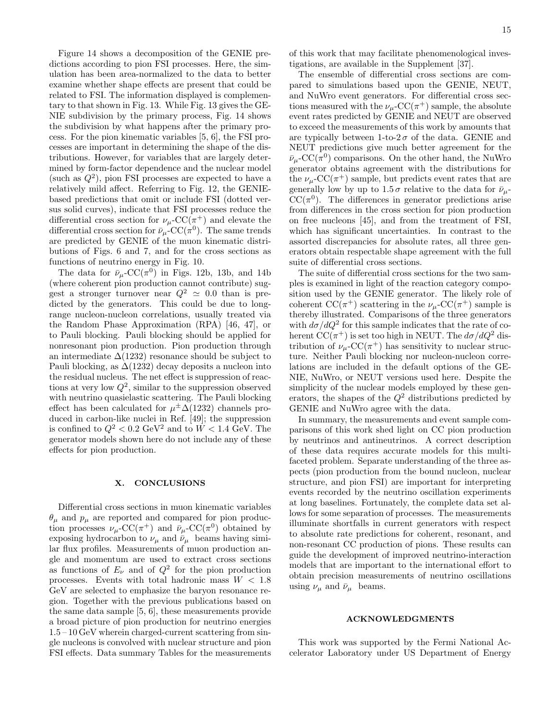Figure 14 shows a decomposition of the GENIE predictions according to pion FSI processes. Here, the simulation has been area-normalized to the data to better examine whether shape effects are present that could be related to FSI. The information displayed is complementary to that shown in Fig. 13. While Fig. 13 gives the GE-NIE subdivision by the primary process, Fig. 14 shows the subdivision by what happens after the primary process. For the pion kinematic variables [5, 6], the FSI processes are important in determining the shape of the distributions. However, for variables that are largely determined by form-factor dependence and the nuclear model (such as  $Q^2$ ), pion FSI processes are expected to have a relatively mild affect. Referring to Fig. 12, the GENIEbased predictions that omit or include FSI (dotted versus solid curves), indicate that FSI processes reduce the differential cross section for  $\nu_\mu$ -CC( $\pi^+$ ) and elevate the differential cross section for  $\bar{\nu}_{\mu}$ -CC( $\pi^{0}$ ). The same trends are predicted by GENIE of the muon kinematic distributions of Figs. 6 and 7, and for the cross sections as functions of neutrino energy in Fig. 10.

The data for  $\bar{\nu}_{\mu}$ -CC( $\pi^{0}$ ) in Figs. 12b, 13b, and 14b (where coherent pion production cannot contribute) suggest a stronger turnover near  $Q^2 \simeq 0.0$  than is predicted by the generators. This could be due to longrange nucleon-nucleon correlations, usually treated via the Random Phase Approximation (RPA) [46, 47], or to Pauli blocking. Pauli blocking should be applied for nonresonant pion production. Pion production through an intermediate  $\Delta(1232)$  resonance should be subject to Pauli blocking, as  $\Delta(1232)$  decay deposits a nucleon into the residual nucleus. The net effect is suppression of reactions at very low  $Q^2$ , similar to the suppression observed with neutrino quasielastic scattering. The Pauli blocking effect has been calculated for  $\mu^{\pm} \Delta(1232)$  channels produced in carbon-like nuclei in Ref. [49]; the suppression is confined to  $Q^2 < 0.2$  GeV<sup>2</sup> and to  $W < 1.4$  GeV. The generator models shown here do not include any of these effects for pion production.

#### X. CONCLUSIONS

Differential cross sections in muon kinematic variables  $\theta_{\mu}$  and  $p_{\mu}$  are reported and compared for pion production processes  $\nu_\mu$ -CC( $\pi^+$ ) and  $\bar{\nu}_\mu$ -CC( $\pi^0$ ) obtained by exposing hydrocarbon to  $\nu_{\mu}$  and  $\bar{\nu}_{\mu}$  beams having similar flux profiles. Measurements of muon production angle and momentum are used to extract cross sections as functions of  $E_{\nu}$  and of  $Q^2$  for the pion production processes. Events with total hadronic mass  $W < 1.8$ GeV are selected to emphasize the baryon resonance region. Together with the previous publications based on the same data sample [5, 6], these measurements provide a broad picture of pion production for neutrino energies 1.5 – 10 GeV wherein charged-current scattering from single nucleons is convolved with nuclear structure and pion FSI effects. Data summary Tables for the measurements

of this work that may facilitate phenomenological investigations, are available in the Supplement [37].

The ensemble of differential cross sections are compared to simulations based upon the GENIE, NEUT, and NuWro event generators. For differential cross sections measured with the  $\nu_\mu$ -CC( $\pi^+$ ) sample, the absolute event rates predicted by GENIE and NEUT are observed to exceed the measurements of this work by amounts that are typically between 1-to-2 $\sigma$  of the data. GENIE and NEUT predictions give much better agreement for the  $\bar{\nu}_{\mu}$ -CC( $\pi^{0}$ ) comparisons. On the other hand, the NuWro generator obtains agreement with the distributions for the  $\nu_\mu$ -CC( $\pi^+$ ) sample, but predicts event rates that are generally low by up to  $1.5\sigma$  relative to the data for  $\bar{\nu}_{\mu}$ - $CC(\pi^0)$ . The differences in generator predictions arise from differences in the cross section for pion production on free nucleons [45], and from the treatment of FSI, which has significant uncertainties. In contrast to the assorted discrepancies for absolute rates, all three generators obtain respectable shape agreement with the full suite of differential cross sections.

The suite of differential cross sections for the two samples is examined in light of the reaction category composition used by the GENIE generator. The likely role of coherent  $CC(\pi^+)$  scattering in the  $\nu_\mu$ -CC( $\pi^+$ ) sample is thereby illustrated. Comparisons of the three generators with  $d\sigma/dQ^2$  for this sample indicates that the rate of coherent  $\text{CC}(\pi^+)$  is set too high in NEUT. The  $d\sigma/dQ^2$  distribution of  $\nu_\mu$ -CC( $\pi^+$ ) has sensitivity to nuclear structure. Neither Pauli blocking nor nucleon-nucleon correlations are included in the default options of the GE-NIE, NuWro, or NEUT versions used here. Despite the simplicity of the nuclear models employed by these generators, the shapes of the  $Q^2$  distributions predicted by GENIE and NuWro agree with the data.

In summary, the measurements and event sample comparisons of this work shed light on CC pion production by neutrinos and antineutrinos. A correct description of these data requires accurate models for this multifaceted problem. Separate understanding of the three aspects (pion production from the bound nucleon, nuclear structure, and pion FSI) are important for interpreting events recorded by the neutrino oscillation experiments at long baselines. Fortunately, the complete data set allows for some separation of processes. The measurements illuminate shortfalls in current generators with respect to absolute rate predictions for coherent, resonant, and non-resonant CC production of pions. These results can guide the development of improved neutrino-interaction models that are important to the international effort to obtain precision measurements of neutrino oscillations using  $\nu_{\mu}$  and  $\bar{\nu}_{\mu}$  beams.

#### ACKNOWLEDGMENTS

This work was supported by the Fermi National Accelerator Laboratory under US Department of Energy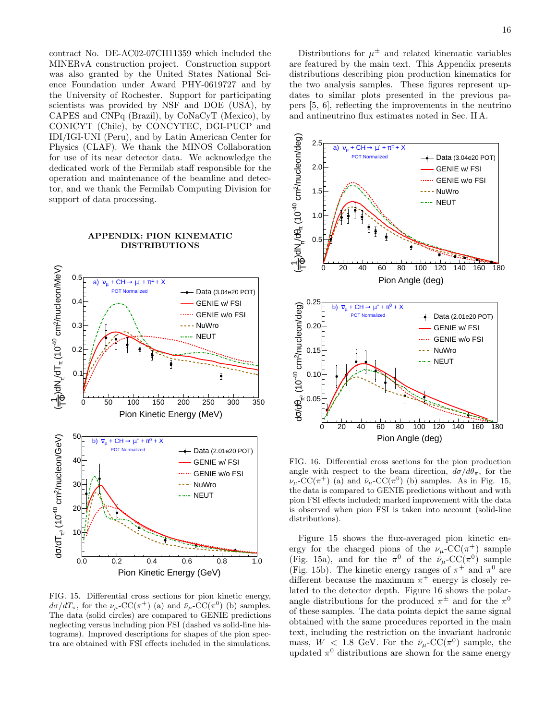contract No. DE-AC02-07CH11359 which included the MINERvA construction project. Construction support was also granted by the United States National Science Foundation under Award PHY-0619727 and by the University of Rochester. Support for participating scientists was provided by NSF and DOE (USA), by CAPES and CNPq (Brazil), by CoNaCyT (Mexico), by CONICYT (Chile), by CONCYTEC, DGI-PUCP and IDI/IGI-UNI (Peru), and by Latin American Center for Physics (CLAF). We thank the MINOS Collaboration for use of its near detector data. We acknowledge the dedicated work of the Fermilab staff responsible for the operation and maintenance of the beamline and detector, and we thank the Fermilab Computing Division for support of data processing.

#### APPENDIX: PION KINEMATIC DISTRIBUTIONS



FIG. 15. Differential cross sections for pion kinetic energy,  $d\sigma/dT_{\pi}$ , for the  $\nu_{\mu}$ -CC( $\pi^{+}$ ) (a) and  $\bar{\nu}_{\mu}$ -CC( $\pi^{0}$ ) (b) samples. The data (solid circles) are compared to GENIE predictions neglecting versus including pion FSI (dashed vs solid-line histograms). Improved descriptions for shapes of the pion spectra are obtained with FSI effects included in the simulations.

Distributions for  $\mu^{\pm}$  and related kinematic variables are featured by the main text. This Appendix presents distributions describing pion production kinematics for the two analysis samples. These figures represent updates to similar plots presented in the previous papers [5, 6], reflecting the improvements in the neutrino and antineutrino flux estimates noted in Sec. II A.



FIG. 16. Differential cross sections for the pion production angle with respect to the beam direction,  $d\sigma/d\theta_\pi$ , for the  $\nu_\mu$ -CC( $\pi^+$ ) (a) and  $\bar{\nu}_\mu$ -CC( $\pi^0$ ) (b) samples. As in Fig. 15, the data is compared to GENIE predictions without and with pion FSI effects included; marked improvement with the data is observed when pion FSI is taken into account (solid-line distributions).

Figure 15 shows the flux-averaged pion kinetic energy for the charged pions of the  $\nu_\mu$ -CC( $\pi^+$ ) sample (Fig. 15a), and for the  $\pi^0$  of the  $\bar{\nu}_{\mu}$ -CC( $\pi^0$ ) sample (Fig. 15b). The kinetic energy ranges of  $\pi^+$  and  $\pi^0$  are different because the maximum  $\pi$ <sup>+</sup> energy is closely related to the detector depth. Figure 16 shows the polarangle distributions for the produced  $\pi^{\pm}$  and for the  $\pi^{0}$ of these samples. The data points depict the same signal obtained with the same procedures reported in the main text, including the restriction on the invariant hadronic mass,  $W$  < 1.8 GeV. For the  $\bar{\nu}_{\mu}$ -CC( $\pi^{0}$ ) sample, the updated  $\pi^0$  distributions are shown for the same energy